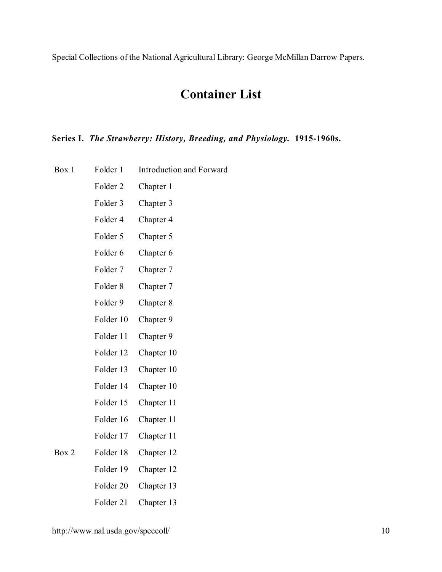# **Container List**

#### **Series I.** *The Strawberry: History, Breeding, and Physiology.* **1915-1960s.**

- Box 1 Folder 1 Introduction and Forward
	- Folder 2 Chapter 1
	- Folder 3 Chapter 3
	- Folder 4 Chapter 4
	- Folder 5 Chapter 5
	- Folder 6 Chapter 6
	- Folder 7 Chapter 7
	- Folder 8 Chapter 7
	- Folder 9 Chapter 8
	- Folder 10 Chapter 9
	- Folder 11 Chapter 9
	- Folder 12 Chapter 10
	- Folder 13 Chapter 10
	- Folder 14 Chapter 10
	- Folder 15 Chapter 11
	- Folder 16 Chapter 11
	- Folder 17 Chapter 11
- Box 2 Folder 18 Chapter 12
	- Folder 19 Chapter 12
		- Folder 20 Chapter 13
		- Folder 21 Chapter 13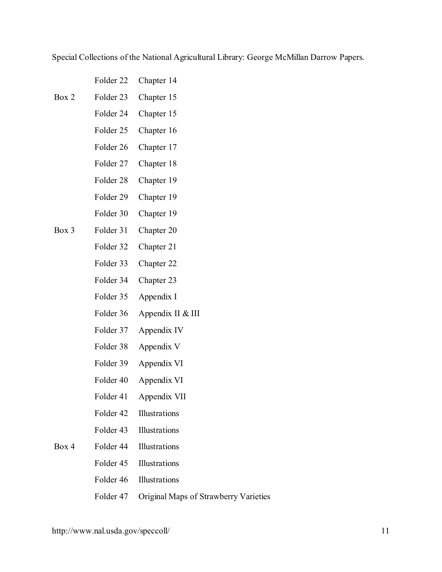Folder 22 Chapter 14

- Box 2 Folder 23 Chapter 15
	- Folder 24 Chapter 15
		- Folder 25 Chapter 16
		- Folder 26 Chapter 17
		- Folder 27 Chapter 18
		- Folder 28 Chapter 19
		- Folder 29 Chapter 19
	- Folder 30 Chapter 19
- Box 3 Folder 31 Chapter 20
	- Folder 32 Chapter 21
	- Folder 33 Chapter 22
	- Folder 34 Chapter 23
	- Folder 35 Appendix I
	- Folder 36 Appendix II & III
	- Folder 37 Appendix IV
	- Folder 38 Appendix V
	- Folder 39 Appendix VI
	- Folder 40 Appendix VI
	- Folder 41 Appendix VII
	- Folder 42 Illustrations
	- Folder 43 Illustrations
- Box 4 Folder 44 Illustrations
	- Folder 45 Illustrations
	- Folder 46 Illustrations
	- Folder 47 Original Maps of Strawberry Varieties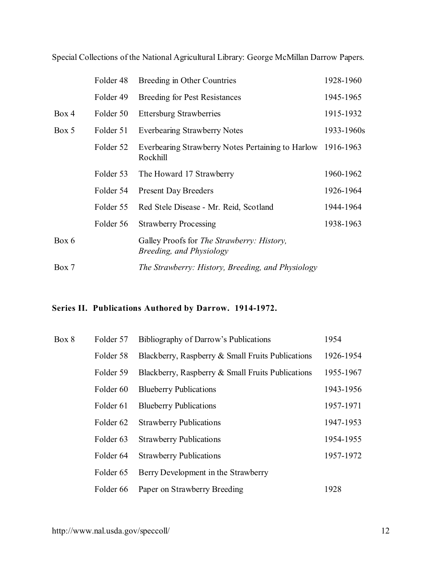|       | Folder 48 | Breeding in Other Countries                                                    | 1928-1960  |
|-------|-----------|--------------------------------------------------------------------------------|------------|
|       | Folder 49 | <b>Breeding for Pest Resistances</b>                                           | 1945-1965  |
| Box 4 | Folder 50 | <b>Ettersburg Strawberries</b>                                                 | 1915-1932  |
| Box 5 | Folder 51 | <b>Everbearing Strawberry Notes</b>                                            | 1933-1960s |
|       | Folder 52 | Everbearing Strawberry Notes Pertaining to Harlow 1916-1963<br>Rockhill        |            |
|       | Folder 53 | The Howard 17 Strawberry                                                       | 1960-1962  |
|       | Folder 54 | <b>Present Day Breeders</b>                                                    | 1926-1964  |
|       | Folder 55 | Red Stele Disease - Mr. Reid, Scotland                                         | 1944-1964  |
|       | Folder 56 | <b>Strawberry Processing</b>                                                   | 1938-1963  |
| Box 6 |           | Galley Proofs for <i>The Strawberry: History</i> ,<br>Breeding, and Physiology |            |
| Box 7 |           | The Strawberry: History, Breeding, and Physiology                              |            |

## **Series II. Publications Authored by Darrow. 1914-1972.**

| Box 8 | Folder 57            | Bibliography of Darrow's Publications             | 1954      |
|-------|----------------------|---------------------------------------------------|-----------|
|       | Folder 58            | Blackberry, Raspberry & Small Fruits Publications | 1926-1954 |
|       | Folder 59            | Blackberry, Raspberry & Small Fruits Publications | 1955-1967 |
|       | Folder <sub>60</sub> | <b>Blueberry Publications</b>                     | 1943-1956 |
|       | Folder 61            | <b>Blueberry Publications</b>                     | 1957-1971 |
|       | Folder <sub>62</sub> | <b>Strawberry Publications</b>                    | 1947-1953 |
|       | Folder <sub>63</sub> | <b>Strawberry Publications</b>                    | 1954-1955 |
|       | Folder <sub>64</sub> | <b>Strawberry Publications</b>                    | 1957-1972 |
|       | Folder 65            | Berry Development in the Strawberry               |           |
|       | Folder 66            | Paper on Strawberry Breeding                      | 1928      |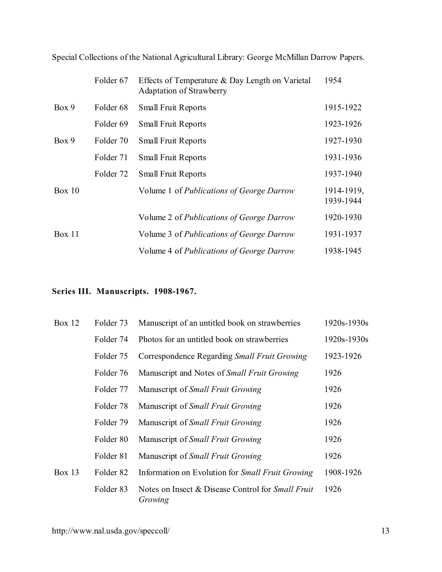|               | Folder 67            | Effects of Temperature & Day Length on Varietal<br><b>Adaptation of Strawberry</b> | 1954                    |
|---------------|----------------------|------------------------------------------------------------------------------------|-------------------------|
| Box 9         | Folder <sub>68</sub> | <b>Small Fruit Reports</b>                                                         | 1915-1922               |
|               | Folder 69            | <b>Small Fruit Reports</b>                                                         | 1923-1926               |
| Box 9         | Folder 70            | <b>Small Fruit Reports</b>                                                         | 1927-1930               |
|               | Folder 71            | <b>Small Fruit Reports</b>                                                         | 1931-1936               |
|               | Folder 72            | <b>Small Fruit Reports</b>                                                         | 1937-1940               |
| <b>Box 10</b> |                      | Volume 1 of <i>Publications of George Darrow</i>                                   | 1914-1919,<br>1939-1944 |
|               |                      | Volume 2 of Publications of George Darrow                                          | 1920-1930               |
| Box 11        |                      | Volume 3 of Publications of George Darrow                                          | 1931-1937               |
|               |                      | Volume 4 of <i>Publications of George Darrow</i>                                   | 1938-1945               |

## **Series III. Manuscripts. 1908-1967.**

| Box $12$ | Folder 73            | Manuscript of an untitled book on strawberries                      | $1920s - 1930s$ |
|----------|----------------------|---------------------------------------------------------------------|-----------------|
|          | Folder 74            | Photos for an untitled book on strawberries                         | $1920s - 1930s$ |
|          | Folder 75            | Correspondence Regarding Small Fruit Growing                        | 1923-1926       |
|          | Folder 76            | Manuscript and Notes of <i>Small Fruit Growing</i>                  | 1926            |
|          | Folder 77            | Manuscript of <i>Small Fruit Growing</i>                            | 1926            |
|          | Folder 78            | Manuscript of <i>Small Fruit Growing</i>                            | 1926            |
|          | Folder 79            | Manuscript of <i>Small Fruit Growing</i>                            | 1926            |
|          | Folder 80            | Manuscript of <i>Small Fruit Growing</i>                            | 1926            |
|          | Folder 81            | Manuscript of <i>Small Fruit Growing</i>                            | 1926            |
| Box $13$ | Folder <sub>82</sub> | Information on Evolution for Small Fruit Growing                    | 1908-1926       |
|          | Folder <sub>83</sub> | Notes on Insect & Disease Control for <i>Small Fruit</i><br>Growing | 1926            |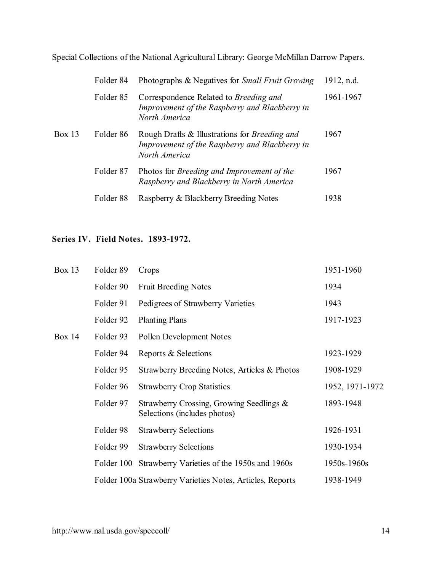|        | Folder 84            | Photographs & Negatives for <i>Small Fruit Growing</i>                                                                  | 1912, n.d. |
|--------|----------------------|-------------------------------------------------------------------------------------------------------------------------|------------|
|        | Folder 85            | Correspondence Related to <i>Breeding and</i><br>Improvement of the Raspberry and Blackberry in<br>North America        | 1961-1967  |
| Box 13 | Folder 86            | Rough Drafts & Illustrations for <i>Breeding and</i><br>Improvement of the Raspberry and Blackberry in<br>North America | 1967       |
|        | Folder 87            | Photos for <i>Breeding and Improvement of the</i><br>Raspberry and Blackberry in North America                          | 1967       |
|        | Folder <sub>88</sub> | Raspberry & Blackberry Breeding Notes                                                                                   | 1938       |

## **Series IV. Field Notes. 1893-1972.**

| <b>Box 13</b> | Folder 89  | Crops                                                                    | 1951-1960       |
|---------------|------------|--------------------------------------------------------------------------|-----------------|
|               | Folder 90  | <b>Fruit Breeding Notes</b>                                              | 1934            |
|               | Folder 91  | Pedigrees of Strawberry Varieties                                        | 1943            |
|               | Folder 92  | <b>Planting Plans</b>                                                    | 1917-1923       |
| Box $14$      | Folder 93  | Pollen Development Notes                                                 |                 |
|               | Folder 94  | Reports & Selections                                                     | 1923-1929       |
|               | Folder 95  | Strawberry Breeding Notes, Articles & Photos                             | 1908-1929       |
|               | Folder 96  | <b>Strawberry Crop Statistics</b>                                        | 1952, 1971-1972 |
|               | Folder 97  | Strawberry Crossing, Growing Seedlings &<br>Selections (includes photos) | 1893-1948       |
|               | Folder 98  | <b>Strawberry Selections</b>                                             | 1926-1931       |
|               | Folder 99  | <b>Strawberry Selections</b>                                             | 1930-1934       |
|               | Folder 100 | Strawberry Varieties of the 1950s and 1960s                              | 1950s-1960s     |
|               |            | Folder 100a Strawberry Varieties Notes, Articles, Reports                | 1938-1949       |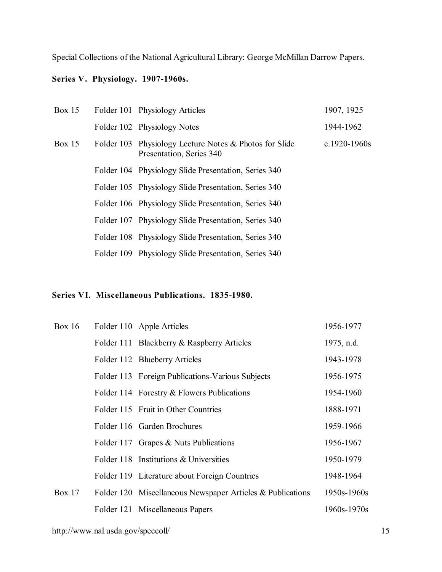#### **Series V. Physiology. 1907-1960s.**

| Box $15$ | Folder 101 Physiology Articles                                                     | 1907, 1925   |
|----------|------------------------------------------------------------------------------------|--------------|
|          | Folder 102 Physiology Notes                                                        | 1944-1962    |
| Box $15$ | Folder 103 Physiology Lecture Notes & Photos for Slide<br>Presentation, Series 340 | c.1920-1960s |
|          | Folder 104 Physiology Slide Presentation, Series 340                               |              |
|          | Folder 105 Physiology Slide Presentation, Series 340                               |              |
|          | Folder 106 Physiology Slide Presentation, Series 340                               |              |
|          | Folder 107 Physiology Slide Presentation, Series 340                               |              |
|          | Folder 108 Physiology Slide Presentation, Series 340                               |              |
|          | Folder 109 Physiology Slide Presentation, Series 340                               |              |

#### **Series VI. Miscellaneous Publications. 1835-1980.**

| Box $16$ | Folder 110 Apple Articles                                  | 1956-1977   |
|----------|------------------------------------------------------------|-------------|
|          | Folder 111 Blackberry & Raspberry Articles                 | 1975, n.d.  |
|          | Folder 112 Blueberry Articles                              | 1943-1978   |
|          | Folder 113 Foreign Publications-Various Subjects           | 1956-1975   |
|          | Folder 114 Forestry & Flowers Publications                 | 1954-1960   |
|          | Folder 115 Fruit in Other Countries                        | 1888-1971   |
|          | Folder 116 Garden Brochures                                | 1959-1966   |
|          | Folder 117 Grapes & Nuts Publications                      | 1956-1967   |
|          | Folder 118 Institutions & Universities                     | 1950-1979   |
|          | Folder 119 Literature about Foreign Countries              | 1948-1964   |
| Box $17$ | Folder 120 Miscellaneous Newspaper Articles & Publications | 1950s-1960s |
|          | Folder 121 Miscellaneous Papers                            | 1960s-1970s |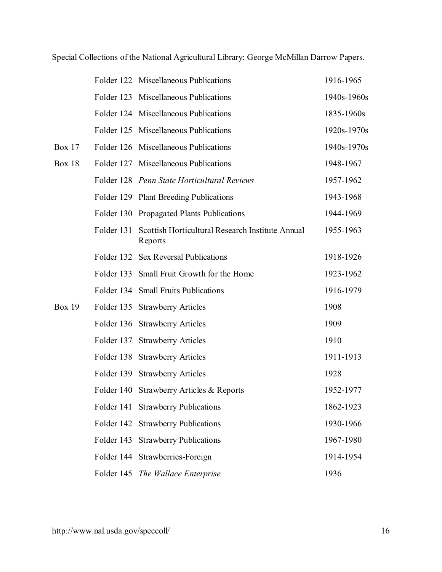|               |            | Folder 122 Miscellaneous Publications                       | 1916-1965   |
|---------------|------------|-------------------------------------------------------------|-------------|
|               |            | Folder 123 Miscellaneous Publications                       | 1940s-1960s |
|               |            | Folder 124 Miscellaneous Publications                       | 1835-1960s  |
|               |            | Folder 125 Miscellaneous Publications                       | 1920s-1970s |
| Box $17$      |            | Folder 126 Miscellaneous Publications                       | 1940s-1970s |
| <b>Box 18</b> |            | Folder 127 Miscellaneous Publications                       | 1948-1967   |
|               |            | Folder 128 Penn State Horticultural Reviews                 | 1957-1962   |
|               |            | Folder 129 Plant Breeding Publications                      | 1943-1968   |
|               |            | Folder 130 Propagated Plants Publications                   | 1944-1969   |
|               | Folder 131 | Scottish Horticultural Research Institute Annual<br>Reports | 1955-1963   |
|               |            | Folder 132 Sex Reversal Publications                        | 1918-1926   |
|               |            | Folder 133 Small Fruit Growth for the Home                  | 1923-1962   |
|               |            | Folder 134 Small Fruits Publications                        | 1916-1979   |
| <b>Box 19</b> |            | Folder 135 Strawberry Articles                              | 1908        |
|               |            | Folder 136 Strawberry Articles                              | 1909        |
|               |            | Folder 137 Strawberry Articles                              | 1910        |
|               |            | Folder 138 Strawberry Articles                              | 1911-1913   |
|               |            | Folder 139 Strawberry Articles                              | 1928        |
|               |            | Folder 140 Strawberry Articles & Reports                    | 1952-1977   |
|               |            | Folder 141 Strawberry Publications                          | 1862-1923   |
|               | Folder 142 | <b>Strawberry Publications</b>                              | 1930-1966   |
|               | Folder 143 | <b>Strawberry Publications</b>                              | 1967-1980   |
|               |            | Folder 144 Strawberries-Foreign                             | 1914-1954   |
|               |            | Folder 145 The Wallace Enterprise                           | 1936        |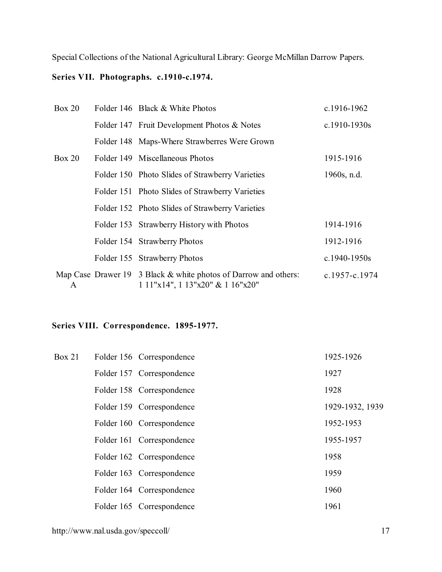## **Series VII. Photographs. c.1910-c.1974.**

| Box 20 |  | Folder 146 Black & White Photos                                                                     | c.1916-1962      |  |
|--------|--|-----------------------------------------------------------------------------------------------------|------------------|--|
|        |  | Folder 147 Fruit Development Photos & Notes                                                         | $c.1910 - 1930s$ |  |
|        |  | Folder 148 Maps-Where Strawberres Were Grown                                                        |                  |  |
| Box 20 |  | Folder 149 Miscellaneous Photos                                                                     | 1915-1916        |  |
|        |  | Folder 150 Photo Slides of Strawberry Varieties                                                     | $1960s$ , n.d.   |  |
|        |  | Folder 151 Photo Slides of Strawberry Varieties                                                     |                  |  |
|        |  | Folder 152 Photo Slides of Strawberry Varieties                                                     |                  |  |
|        |  | Folder 153 Strawberry History with Photos                                                           | 1914-1916        |  |
|        |  | Folder 154 Strawberry Photos                                                                        | 1912-1916        |  |
|        |  | Folder 155 Strawberry Photos                                                                        | c.1940-1950s     |  |
| A      |  | Map Case Drawer 19 3 Black & white photos of Darrow and others:<br>$111"x14", 113"x20" \& 116"x20"$ | c.1957-c.1974    |  |

## **Series VIII. Correspondence. 1895-1977.**

| Box 21 | Folder 156 Correspondence | 1925-1926       |
|--------|---------------------------|-----------------|
|        | Folder 157 Correspondence | 1927            |
|        | Folder 158 Correspondence | 1928            |
|        | Folder 159 Correspondence | 1929-1932, 1939 |
|        | Folder 160 Correspondence | 1952-1953       |
|        | Folder 161 Correspondence | 1955-1957       |
|        | Folder 162 Correspondence | 1958            |
|        | Folder 163 Correspondence | 1959            |
|        | Folder 164 Correspondence | 1960            |
|        | Folder 165 Correspondence | 1961            |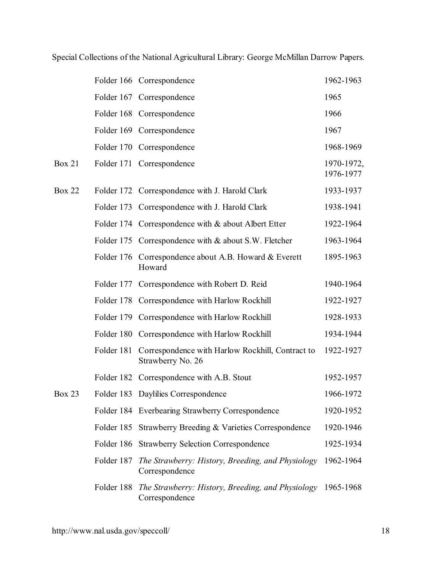| Special Collections of the National Agricultural Library: George McMillan Darrow Papers. |  |  |  |
|------------------------------------------------------------------------------------------|--|--|--|
|------------------------------------------------------------------------------------------|--|--|--|

|               |            | Folder 166 Correspondence                                             | 1962-1963               |
|---------------|------------|-----------------------------------------------------------------------|-------------------------|
|               |            | Folder 167 Correspondence                                             | 1965                    |
|               |            | Folder 168 Correspondence                                             | 1966                    |
|               |            | Folder 169 Correspondence                                             | 1967                    |
|               |            | Folder 170 Correspondence                                             | 1968-1969               |
| <b>Box 21</b> |            | Folder 171 Correspondence                                             | 1970-1972,<br>1976-1977 |
| <b>Box 22</b> |            | Folder 172 Correspondence with J. Harold Clark                        | 1933-1937               |
|               | Folder 173 | Correspondence with J. Harold Clark                                   | 1938-1941               |
|               |            | Folder 174 Correspondence with & about Albert Etter                   | 1922-1964               |
|               | Folder 175 | Correspondence with & about S.W. Fletcher                             | 1963-1964               |
|               | Folder 176 | Correspondence about A.B. Howard & Everett<br>Howard                  | 1895-1963               |
|               | Folder 177 | Correspondence with Robert D. Reid                                    | 1940-1964               |
|               | Folder 178 | Correspondence with Harlow Rockhill                                   | 1922-1927               |
|               | Folder 179 | Correspondence with Harlow Rockhill                                   | 1928-1933               |
|               |            | Folder 180 Correspondence with Harlow Rockhill                        | 1934-1944               |
|               | Folder 181 | Correspondence with Harlow Rockhill, Contract to<br>Strawberry No. 26 | 1922-1927               |
|               |            | Folder 182 Correspondence with A.B. Stout                             | 1952-1957               |
| <b>Box 23</b> |            | Folder 183 Daylilies Correspondence                                   | 1966-1972               |
|               |            | Folder 184 Everbearing Strawberry Correspondence                      | 1920-1952               |
|               | Folder 185 | Strawberry Breeding & Varieties Correspondence                        | 1920-1946               |
|               | Folder 186 | <b>Strawberry Selection Correspondence</b>                            | 1925-1934               |
|               | Folder 187 | The Strawberry: History, Breeding, and Physiology<br>Correspondence   | 1962-1964               |
|               | Folder 188 | The Strawberry: History, Breeding, and Physiology<br>Correspondence   | 1965-1968               |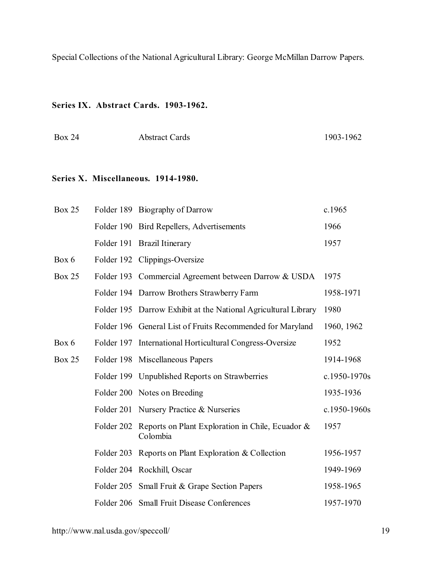## **Series IX. Abstract Cards. 1903-1962.**

| <b>Box 24</b><br><b>Abstract Cards</b> | 1903-1962 |
|----------------------------------------|-----------|
|----------------------------------------|-----------|

#### **Series X. Miscellaneous. 1914-1980.**

| <b>Box 25</b> |            | Folder 189 Biography of Darrow                                 | c.1965       |
|---------------|------------|----------------------------------------------------------------|--------------|
|               |            | Folder 190 Bird Repellers, Advertisements                      | 1966         |
|               |            | Folder 191 Brazil Itinerary                                    | 1957         |
| Box 6         |            | Folder 192 Clippings-Oversize                                  |              |
| <b>Box 25</b> |            | Folder 193 Commercial Agreement between Darrow & USDA          | 1975         |
|               |            | Folder 194 Darrow Brothers Strawberry Farm                     | 1958-1971    |
|               |            | Folder 195 Darrow Exhibit at the National Agricultural Library | 1980         |
|               |            | Folder 196 General List of Fruits Recommended for Maryland     | 1960, 1962   |
| Box 6         |            | Folder 197 International Horticultural Congress-Oversize       | 1952         |
| <b>Box 25</b> |            | Folder 198 Miscellaneous Papers                                | 1914-1968    |
|               |            | Folder 199 Unpublished Reports on Strawberries                 | c.1950-1970s |
|               |            | Folder 200 Notes on Breeding                                   | 1935-1936    |
|               |            | Folder 201 Nursery Practice & Nurseries                        | c.1950-1960s |
|               | Folder 202 | Reports on Plant Exploration in Chile, Ecuador &<br>Colombia   | 1957         |
|               |            | Folder 203 Reports on Plant Exploration & Collection           | 1956-1957    |
|               |            | Folder 204 Rockhill, Oscar                                     | 1949-1969    |
|               |            | Folder 205 Small Fruit & Grape Section Papers                  | 1958-1965    |
|               |            | Folder 206 Small Fruit Disease Conferences                     | 1957-1970    |